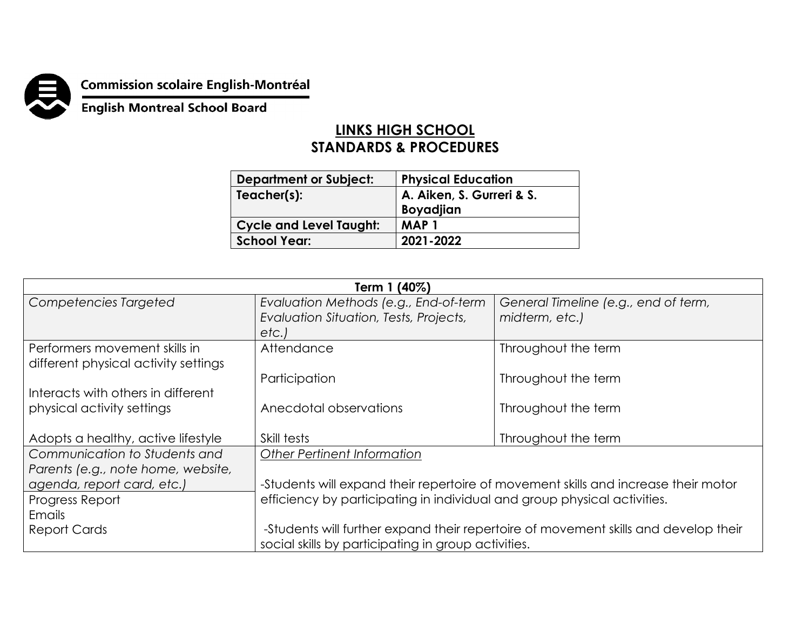

## **Commission scolaire English-Montréal<br>English Montreal School Board**

## **LINKS HIGH SCHOOL STANDARDS & PROCEDURES**

| <b>Department or Subject:</b>  | <b>Physical Education</b>              |
|--------------------------------|----------------------------------------|
| Teacher(s):                    | A. Aiken, S. Gurreri & S.<br>Boyadjian |
| <b>Cycle and Level Taught:</b> | <b>MAP1</b>                            |
| <b>School Year:</b>            | 2021-2022                              |
|                                |                                        |

| Term 1 (40%)                         |                                                                                     |                                      |  |  |
|--------------------------------------|-------------------------------------------------------------------------------------|--------------------------------------|--|--|
| Competencies Targeted                | Evaluation Methods (e.g., End-of-term                                               | General Timeline (e.g., end of term, |  |  |
|                                      | Evaluation Situation, Tests, Projects,                                              | midterm, etc.)                       |  |  |
|                                      | etc.                                                                                |                                      |  |  |
| Performers movement skills in        | Attendance                                                                          | Throughout the term                  |  |  |
| different physical activity settings |                                                                                     |                                      |  |  |
|                                      | Participation                                                                       | Throughout the term                  |  |  |
| Interacts with others in different   |                                                                                     |                                      |  |  |
| physical activity settings           | Anecdotal observations                                                              | Throughout the term                  |  |  |
|                                      |                                                                                     |                                      |  |  |
| Adopts a healthy, active lifestyle   | Skill tests                                                                         | Throughout the term                  |  |  |
| Communication to Students and        | <b>Other Pertinent Information</b>                                                  |                                      |  |  |
| Parents (e.g., note home, website,   |                                                                                     |                                      |  |  |
| agenda, report card, etc.)           | -Students will expand their repertoire of movement skills and increase their motor  |                                      |  |  |
| Progress Report                      | efficiency by participating in individual and group physical activities.            |                                      |  |  |
| Emails                               |                                                                                     |                                      |  |  |
| <b>Report Cards</b>                  | -Students will further expand their repertoire of movement skills and develop their |                                      |  |  |
|                                      | social skills by participating in group activities.                                 |                                      |  |  |